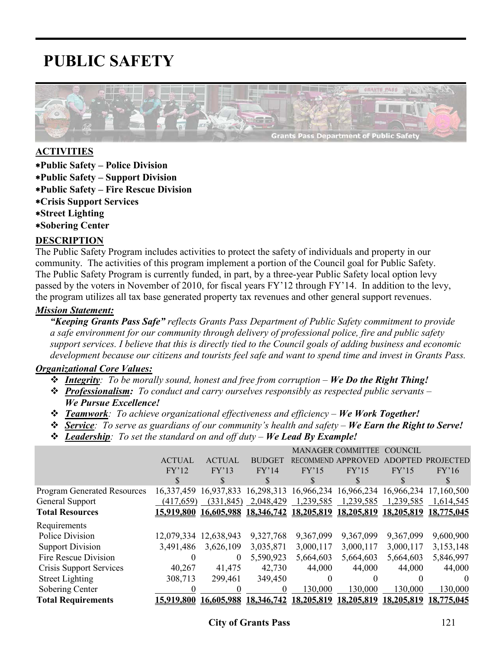# **PUBLIC SAFETY**



#### **ACTIVITIES**

- ∗**Public Safety Police Division**
- ∗**Public Safety Support Division**
- ∗**Public Safety Fire Rescue Division**
- ∗**Crisis Support Services**
- ∗**Street Lighting**
- ∗**Sobering Center**

#### **DESCRIPTION**

The Public Safety Program includes activities to protect the safety of individuals and property in our community. The activities of this program implement a portion of the Council goal for Public Safety. The Public Safety Program is currently funded, in part, by a three-year Public Safety local option levy passed by the voters in November of 2010, for fiscal years FY'12 through FY'14. In addition to the levy, the program utilizes all tax base generated property tax revenues and other general support revenues.

#### *Mission Statement:*

*"Keeping Grants Pass Safe" reflects Grants Pass Department of Public Safety commitment to provide a safe environment for our community through delivery of professional police, fire and public safety support services. I believe that this is directly tied to the Council goals of adding business and economic development because our citizens and tourists feel safe and want to spend time and invest in Grants Pass.* 

#### *Organizational Core Values:*

*Integrity: To be morally sound, honest and free from corruption – We Do the Right Thing!*

- *Professionalism: To conduct and carry ourselves responsibly as respected public servants We Pursue Excellence!*
- *₹ Teamwork*: To achieve organizational effectiveness and efficiency *We Work Together!*
- *Service: To serve as guardians of our community's health and safety We Earn the Right to Serve!*
- *Leadership: To set the standard on and off duty We Lead By Example!*

|                                    |                   |               |               |                  | <b>MANAGER COMMITTEE</b> | <b>COUNCIL</b> |                       |
|------------------------------------|-------------------|---------------|---------------|------------------|--------------------------|----------------|-----------------------|
|                                    | <b>ACTUAL</b>     | <b>ACTUAL</b> | <b>BUDGET</b> | <b>RECOMMEND</b> | APPROVED                 |                | <b>PROJECTED</b>      |
|                                    | FY'12             | FY'13         | FY'14         | FY'15            | FY'15                    | FY'15          | FY'16                 |
|                                    | \$                | S             | S             |                  |                          |                |                       |
| <b>Program Generated Resources</b> | 16,337,459        | 16,937,833    | 16,298,313    | 16,966,234       | 16,966,234               |                | 16,966,234 17,160,500 |
| General Support                    | (417,659)         | (331, 845)    | 2,048,429     | 1,239,585        | 1,239,585                | 1,239,585      | 1,614,545             |
| <b>Total Resources</b>             | <u>15,919,800</u> | 16,605,988    | 18,346,742    | 18,205,819       | 18,205,819               | 18,205,819     | 18,775,045            |
| Requirements                       |                   |               |               |                  |                          |                |                       |
| Police Division                    | 12,079,334        | 12,638,943    | 9,327,768     | 9,367,099        | 9,367,099                | 9,367,099      | 9,600,900             |
| <b>Support Division</b>            | 3,491,486         | 3,626,109     | 3,035,871     | 3,000,117        | 3,000,117                | 3,000,117      | 3,153,148             |
| Fire Rescue Division               |                   | $\theta$      | 5,590,923     | 5,664,603        | 5,664,603                | 5,664,603      | 5,846,997             |
| Crisis Support Services            | 40,267            | 41,475        | 42,730        | 44,000           | 44,000                   | 44,000         | 44,000                |
| <b>Street Lighting</b>             | 308,713           | 299,461       | 349,450       | $\theta$         |                          |                | $\theta$              |
| Sobering Center                    |                   |               | $\theta$      | 130,000          | 130,000                  | 130,000        | 130,000               |
| <b>Total Requirements</b>          | 15,919,800        | 16,605,988    | 18,346,742    | 18,205,819       | 18,205,819               | 18,205,819     | 18,775,045            |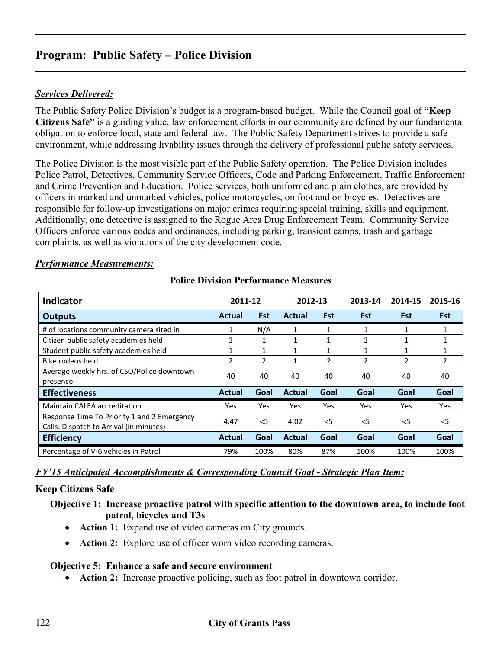#### *Services Delivered:*

The Public Safety Police Division's budget is a program-based budget. While the Council goal of **"Keep Citizens Safe"** is a guiding value, law enforcement efforts in our community are defined by our fundamental obligation to enforce local, state and federal law. The Public Safety Department strives to provide a safe environment, while addressing livability issues through the delivery of professional public safety services.

The Police Division is the most visible part of the Public Safety operation. The Police Division includes Police Patrol, Detectives, Community Service Officers, Code and Parking Enforcement, Traffic Enforcement and Crime Prevention and Education. Police services, both uniformed and plain clothes, are provided by officers in marked and unmarked vehicles, police motorcycles, on foot and on bicycles. Detectives are responsible for follow-up investigations on major crimes requiring special training, skills and equipment. Additionally, one detective is assigned to the Rogue Area Drug Enforcement Team. Community Service Officers enforce various codes and ordinances, including parking, transient camps, trash and garbage complaints, as well as violations of the city development code.

#### *Performance Measurements:*

| Indicator                                                                              | 2011-12      |                | 2012-13       |               | 2013-14                  | 2014-15 | 2015-16                  |
|----------------------------------------------------------------------------------------|--------------|----------------|---------------|---------------|--------------------------|---------|--------------------------|
| <b>Outputs</b>                                                                         | Actual       | <b>Est</b>     | Actual        | <b>Est</b>    | <b>Est</b>               | Est     | <b>Est</b>               |
| # of locations community camera sited in                                               | 1            | N/A            | 1             |               |                          |         | 1                        |
| Citizen public safety academies held                                                   |              |                | 1             |               |                          |         |                          |
| Student public safety academies held                                                   | $\mathbf{1}$ | 1              |               |               |                          |         |                          |
| Bike rodeos held                                                                       | 2            | $\mathfrak{p}$ |               | $\mathcal{P}$ | $\overline{\phantom{a}}$ | 2       | $\overline{\phantom{a}}$ |
| Average weekly hrs. of CSO/Police downtown                                             | 40           | 40             | 40            | 40            | 40                       | 40      | 40                       |
| presence                                                                               |              |                |               |               |                          |         |                          |
| <b>Effectiveness</b>                                                                   | Actual       | Goal           | <b>Actual</b> | Goal          | Goal                     | Goal    | Goal                     |
| <b>Maintain CALEA accreditation</b>                                                    | Yes          | <b>Yes</b>     | Yes           | Yes           | Yes                      | Yes     | <b>Yes</b>               |
| Response Time To Priority 1 and 2 Emergency<br>Calls: Dispatch to Arrival (in minutes) | 4.47         | $<$ 5          | 4.02          | $<$ 5         | $<$ 5                    | $<$ 5   | $<$ 5                    |
|                                                                                        |              |                |               |               |                          |         |                          |
| <b>Efficiency</b>                                                                      | Actual       | Goal           | <b>Actual</b> | Goal          | Goal                     | Goal    | Goal                     |
| Percentage of V-6 vehicles in Patrol                                                   | 79%          | 100%           | 80%           | 87%           | 100%                     | 100%    | 100%                     |

#### **Police Division Performance Measures**

*FY'15 Anticipated Accomplishments & Corresponding Council Goal - Strategic Plan Item:*

#### **Keep Citizens Safe**

#### **Objective 1: Increase proactive patrol with specific attention to the downtown area, to include foot patrol, bicycles and T3s**

- **Action 1:** Expand use of video cameras on City grounds.
- **Action 2:** Explore use of officer worn video recording cameras.

#### **Objective 5: Enhance a safe and secure environment**

• **Action 2:** Increase proactive policing, such as foot patrol in downtown corridor.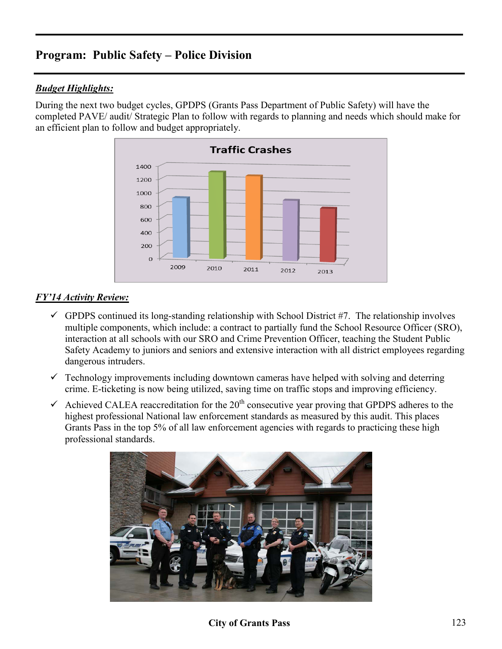### *Budget Highlights:*

During the next two budget cycles, GPDPS (Grants Pass Department of Public Safety) will have the completed PAVE/ audit/ Strategic Plan to follow with regards to planning and needs which should make for an efficient plan to follow and budget appropriately.



## *FY'14 Activity Review:*

- $\checkmark$  GPDPS continued its long-standing relationship with School District #7. The relationship involves multiple components, which include: a contract to partially fund the School Resource Officer (SRO), interaction at all schools with our SRO and Crime Prevention Officer, teaching the Student Public Safety Academy to juniors and seniors and extensive interaction with all district employees regarding dangerous intruders.
- $\checkmark$  Technology improvements including downtown cameras have helped with solving and deterring crime. E-ticketing is now being utilized, saving time on traffic stops and improving efficiency.
- Achieved CALEA reaccreditation for the  $20<sup>th</sup>$  consecutive year proving that GPDPS adheres to the highest professional National law enforcement standards as measured by this audit. This places Grants Pass in the top 5% of all law enforcement agencies with regards to practicing these high professional standards.



**City of Grants Pass** 123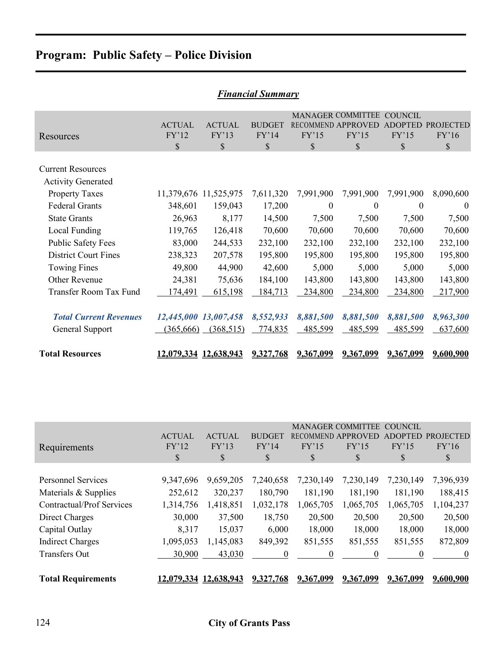|                                                       |                        |                        | r inanciai Summary     |                           |                                                      |                                  |                           |
|-------------------------------------------------------|------------------------|------------------------|------------------------|---------------------------|------------------------------------------------------|----------------------------------|---------------------------|
| Resources                                             | <b>ACTUAL</b><br>FY'12 | <b>ACTUAL</b><br>FY'13 | <b>BUDGET</b><br>FY'14 | <b>RECOMMEND</b><br>FY'15 | <b>MANAGER COMMITTEE</b><br><b>APPROVED</b><br>FY'15 | <b>COUNCIL</b><br>ADOPT<br>FY'15 | <b>PROJECTED</b><br>FY'16 |
|                                                       | \$                     | \$                     | $\mathbb{S}$           | $\mathcal{S}$             | \$                                                   | \$                               | $\mathbb{S}$              |
| <b>Current Resources</b><br><b>Activity Generated</b> |                        |                        |                        |                           |                                                      |                                  |                           |
| <b>Property Taxes</b>                                 |                        | 11,379,676 11,525,975  | 7,611,320              | 7,991,900                 | 7,991,900                                            | 7,991,900                        | 8,090,600                 |
| <b>Federal Grants</b>                                 | 348,601                | 159,043                | 17,200                 | $\mathbf{0}$              | $\boldsymbol{0}$                                     | $\theta$                         | $\theta$                  |
| <b>State Grants</b>                                   | 26,963                 | 8,177                  | 14,500                 | 7,500                     | 7,500                                                | 7,500                            | 7,500                     |
| Local Funding                                         | 119,765                | 126,418                | 70,600                 | 70,600                    | 70,600                                               | 70,600                           | 70,600                    |
| <b>Public Safety Fees</b>                             | 83,000                 | 244,533                | 232,100                | 232,100                   | 232,100                                              | 232,100                          | 232,100                   |
| <b>District Court Fines</b>                           | 238,323                | 207,578                | 195,800                | 195,800                   | 195,800                                              | 195,800                          | 195,800                   |
| Towing Fines                                          | 49,800                 | 44,900                 | 42,600                 | 5,000                     | 5,000                                                | 5,000                            | 5,000                     |
| Other Revenue                                         | 24,381                 | 75,636                 | 184,100                | 143,800                   | 143,800                                              | 143,800                          | 143,800                   |
| Transfer Room Tax Fund                                | 174,491                | 615,198                | 184,713                | 234,800                   | 234,800                                              | 234,800                          | 217,900                   |
|                                                       |                        |                        |                        |                           |                                                      |                                  |                           |
| <b>Total Current Revenues</b>                         |                        | 12,445,000 13,007,458  | 8,552,933              | 8,881,500                 | 8,881,500                                            | 8,881,500                        | 8,963,300                 |
| General Support                                       | (365, 666)             | (368, 515)             | 774,835                | 485,599                   | 485,599                                              | 485,599                          | 637,600                   |
| <b>Total Resources</b>                                |                        | 12,079,334 12,638,943  | 9,327,768              | 9,367,099                 | 9,367,099                                            | 9,367,099                        | 9,600,900                 |

| <b>Financial Summary</b> |
|--------------------------|
|--------------------------|

|                                  |               |               |               |                  | <b>MANAGER COMMITTEE</b> | COUNCIL        |                           |
|----------------------------------|---------------|---------------|---------------|------------------|--------------------------|----------------|---------------------------|
|                                  | <b>ACTUAL</b> | <b>ACTUAL</b> | <b>BUDGET</b> | <b>RECOMMEND</b> | <b>APPROVED</b>          | <b>ADOPTED</b> | <b>PROJECTED</b>          |
| Requirements                     | FY'12         | FY'13         | FY'14         | FY'15            | FY'15                    | FY'15          | FY'16                     |
|                                  | \$            | \$            | \$            | \$               | \$                       | \$             | $\boldsymbol{\mathsf{S}}$ |
|                                  |               |               |               |                  |                          |                |                           |
| <b>Personnel Services</b>        | 9,347,696     | 9,659,205     | 7,240,658     | 7,230,149        | 7,230,149                | 7,230,149      | 7,396,939                 |
| Materials & Supplies             | 252,612       | 320,237       | 180,790       | 181,190          | 181,190                  | 181,190        | 188,415                   |
| <b>Contractual/Prof Services</b> | 1,314,756     | 1,418,851     | 1,032,178     | 1,065,705        | 1,065,705                | 1,065,705      | 1,104,237                 |
| Direct Charges                   | 30,000        | 37,500        | 18,750        | 20,500           | 20,500                   | 20,500         | 20,500                    |
| Capital Outlay                   | 8,317         | 15,037        | 6,000         | 18,000           | 18,000                   | 18,000         | 18,000                    |
| <b>Indirect Charges</b>          | 1,095,053     | 1,145,083     | 849,392       | 851,555          | 851,555                  | 851,555        | 872,809                   |
| <b>Transfers Out</b>             | 30,900        | 43,030        | $^{(1)}$      | $\theta$         | $\theta$                 | 0              | $\theta$                  |
|                                  |               |               |               |                  |                          |                |                           |
| <b>Total Requirements</b>        | 12,079,334    | 12,638,943    | 9,327,768     | 9,367,099        | 9,367,099                | 9,367,099      | 9,600,900                 |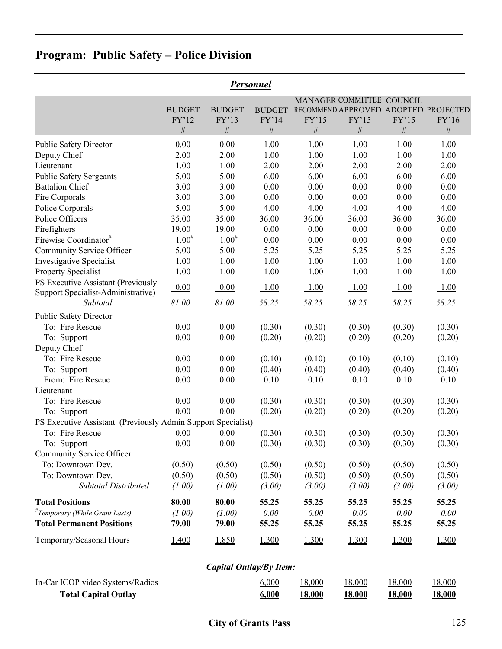|                                                                          | Personnel     |               |                                |              |                                      |              |              |  |  |  |  |  |
|--------------------------------------------------------------------------|---------------|---------------|--------------------------------|--------------|--------------------------------------|--------------|--------------|--|--|--|--|--|
|                                                                          |               |               |                                |              | MANAGER COMMITTEE COUNCIL            |              |              |  |  |  |  |  |
|                                                                          | <b>BUDGET</b> | <b>BUDGET</b> | <b>BUDGET</b>                  |              | RECOMMEND APPROVED ADOPTED PROJECTED |              |              |  |  |  |  |  |
|                                                                          | FY'12         | FY'13         | FY'14                          | FY'15        | FY'15                                | FY'15        | FY'16        |  |  |  |  |  |
|                                                                          | $\#$          | $\#$          | $\#$                           | $\#$         | #                                    | $\#$         | $\#$         |  |  |  |  |  |
| <b>Public Safety Director</b>                                            | 0.00          | 0.00          | 1.00                           | 1.00         | 1.00                                 | 1.00         | 1.00         |  |  |  |  |  |
| Deputy Chief                                                             | 2.00          | 2.00          | 1.00                           | 1.00         | 1.00                                 | 1.00         | 1.00         |  |  |  |  |  |
| Lieutenant                                                               | 1.00          | 1.00          | 2.00                           | 2.00         | 2.00                                 | 2.00         | 2.00         |  |  |  |  |  |
| <b>Public Safety Sergeants</b>                                           | 5.00          | 5.00          | 6.00                           | 6.00         | 6.00                                 | 6.00         | 6.00         |  |  |  |  |  |
| <b>Battalion Chief</b>                                                   | 3.00          | 3.00          | 0.00                           | 0.00         | 0.00                                 | 0.00         | 0.00         |  |  |  |  |  |
| Fire Corporals                                                           | 3.00          | 3.00          | 0.00                           | 0.00         | 0.00                                 | 0.00         | 0.00         |  |  |  |  |  |
| Police Corporals                                                         | 5.00          | 5.00          | 4.00                           | 4.00         | 4.00                                 | 4.00         | 4.00         |  |  |  |  |  |
| Police Officers                                                          | 35.00         | 35.00         | 36.00                          | 36.00        | 36.00                                | 36.00        | 36.00        |  |  |  |  |  |
| Firefighters                                                             | 19.00         | 19.00         | 0.00                           | 0.00         | 0.00                                 | 0.00         | 0.00         |  |  |  |  |  |
| Firewise Coordinator <sup>#</sup>                                        | $1.00^{#}$    | $1.00^{#}$    | 0.00                           | 0.00         | 0.00                                 | 0.00         | 0.00         |  |  |  |  |  |
| Community Service Officer                                                | 5.00          | 5.00          | 5.25                           | 5.25         | 5.25                                 | 5.25         | 5.25         |  |  |  |  |  |
| <b>Investigative Specialist</b>                                          | 1.00          | 1.00          | 1.00                           | 1.00         | 1.00                                 | 1.00         | 1.00         |  |  |  |  |  |
| <b>Property Specialist</b>                                               | 1.00          | 1.00          | 1.00                           | 1.00         | 1.00                                 | 1.00         | 1.00         |  |  |  |  |  |
| PS Executive Assistant (Previously<br>Support Specialist-Administrative) | 0.00          | 0.00          | 1.00                           | 1.00         | 1.00                                 | 1.00         | 1.00         |  |  |  |  |  |
| Subtotal                                                                 | 81.00         | 81.00         | 58.25                          | 58.25        | 58.25                                | 58.25        | 58.25        |  |  |  |  |  |
| <b>Public Safety Director</b>                                            |               |               |                                |              |                                      |              |              |  |  |  |  |  |
| To: Fire Rescue                                                          | 0.00          | 0.00          | (0.30)                         | (0.30)       | (0.30)                               | (0.30)       | (0.30)       |  |  |  |  |  |
| To: Support                                                              | 0.00          | 0.00          | (0.20)                         | (0.20)       | (0.20)                               | (0.20)       | (0.20)       |  |  |  |  |  |
| Deputy Chief                                                             |               |               |                                |              |                                      |              |              |  |  |  |  |  |
| To: Fire Rescue                                                          | 0.00          | 0.00          | (0.10)                         | (0.10)       | (0.10)                               | (0.10)       | (0.10)       |  |  |  |  |  |
| To: Support                                                              | 0.00          | 0.00          | (0.40)                         | (0.40)       | (0.40)                               | (0.40)       | (0.40)       |  |  |  |  |  |
| From: Fire Rescue                                                        | 0.00          | 0.00          | 0.10                           | 0.10         | 0.10                                 | 0.10         | 0.10         |  |  |  |  |  |
| Lieutenant                                                               |               |               |                                |              |                                      |              |              |  |  |  |  |  |
| To: Fire Rescue                                                          | 0.00          | 0.00          | (0.30)                         | (0.30)       | (0.30)                               | (0.30)       | (0.30)       |  |  |  |  |  |
| To: Support                                                              | 0.00          | 0.00          | (0.20)                         | (0.20)       | (0.20)                               | (0.20)       | (0.20)       |  |  |  |  |  |
| PS Executive Assistant (Previously Admin Support Specialist)             |               |               |                                |              |                                      |              |              |  |  |  |  |  |
| To: Fire Rescue                                                          | 0.00          | 0.00          | (0.30)                         | (0.30)       | (0.30)                               | (0.30)       | (0.30)       |  |  |  |  |  |
| To: Support                                                              | 0.00          | 0.00          | (0.30)                         | (0.30)       | (0.30)                               | (0.30)       | (0.30)       |  |  |  |  |  |
| Community Service Officer                                                |               |               |                                |              |                                      |              |              |  |  |  |  |  |
| To: Downtown Dev.                                                        | (0.50)        | (0.50)        | (0.50)                         | (0.50)       | (0.50)                               | (0.50)       | (0.50)       |  |  |  |  |  |
| To: Downtown Dev.                                                        | (0.50)        | (0.50)        | (0.50)                         | (0.50)       | (0.50)                               | (0.50)       | (0.50)       |  |  |  |  |  |
| <b>Subtotal Distributed</b>                                              | (1.00)        | (1.00)        | (3.00)                         | (3.00)       | (3.00)                               | (3.00)       | (3.00)       |  |  |  |  |  |
| <b>Total Positions</b>                                                   | 80.00         | 80.00         | 55.25                          | <u>55.25</u> | 55.25                                | 55.25        | 55.25        |  |  |  |  |  |
| <i>"Temporary (While Grant Lasts)</i>                                    | (1.00)        | (1.00)        | 0.00                           | 0.00         | 0.00                                 | 0.00         | 0.00         |  |  |  |  |  |
| <b>Total Permanent Positions</b>                                         | <u>79.00</u>  | <u>79.00</u>  | 55.25                          | <u>55.25</u> | 55.25                                | <u>55.25</u> | <u>55.25</u> |  |  |  |  |  |
| Temporary/Seasonal Hours                                                 | 1,400         | 1,850         | 1,300                          | 1,300        | 1,300                                | 1,300        | 1,300        |  |  |  |  |  |
|                                                                          |               |               | <b>Capital Outlay/By Item:</b> |              |                                      |              |              |  |  |  |  |  |

| In-Car ICOP video Systems/Radios | 6,000 | 18,000        | 18,000        | 18,000        | 18,000        |
|----------------------------------|-------|---------------|---------------|---------------|---------------|
| <b>Total Capital Outlay</b>      | 6,000 | <u>18,000</u> | <u>18,000</u> | <u>18,000</u> | <u>18,000</u> |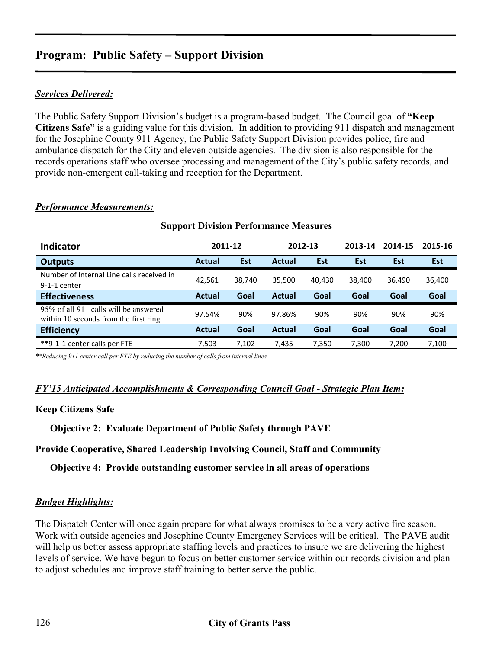## *Services Delivered:*

The Public Safety Support Division's budget is a program-based budget. The Council goal of **"Keep Citizens Safe"** is a guiding value for this division. In addition to providing 911 dispatch and management for the Josephine County 911 Agency, the Public Safety Support Division provides police, fire and ambulance dispatch for the City and eleven outside agencies. The division is also responsible for the records operations staff who oversee processing and management of the City's public safety records, and provide non-emergent call-taking and reception for the Department.

| <b>Support Division Performance Measures</b>                                   |               |            |               |            |         |         |            |  |  |  |
|--------------------------------------------------------------------------------|---------------|------------|---------------|------------|---------|---------|------------|--|--|--|
| <b>Indicator</b>                                                               |               | 2011-12    | 2012-13       |            | 2013-14 | 2014-15 | 2015-16    |  |  |  |
| <b>Outputs</b>                                                                 | <b>Actual</b> | <b>Est</b> | <b>Actual</b> | <b>Est</b> | Est     | Est     | <b>Est</b> |  |  |  |
| Number of Internal Line calls received in<br>$9-1-1$ center                    | 42.561        | 38.740     | 35.500        | 40.430     | 38.400  | 36,490  | 36,400     |  |  |  |
| <b>Effectiveness</b>                                                           | <b>Actual</b> | Goal       | Actual        | Goal       | Goal    | Goal    | Goal       |  |  |  |
| 95% of all 911 calls will be answered<br>within 10 seconds from the first ring | 97.54%        | 90%        | 97.86%        | 90%        | 90%     | 90%     | 90%        |  |  |  |
| <b>Efficiency</b>                                                              | <b>Actual</b> | Goal       | Actual        | Goal       | Goal    | Goal    | Goal       |  |  |  |
| **9-1-1 center calls per FTE                                                   | 7.503         | 7.102      | 7.435         | 7.350      | 7.300   | 7.200   | 7,100      |  |  |  |

#### *Performance Measurements:*

*\*\*Reducing 911 center call per FTE by reducing the number of calls from internal lines*

#### *FY'15 Anticipated Accomplishments & Corresponding Council Goal - Strategic Plan Item:*

#### **Keep Citizens Safe**

**Objective 2: Evaluate Department of Public Safety through PAVE** 

**Provide Cooperative, Shared Leadership Involving Council, Staff and Community** 

**Objective 4: Provide outstanding customer service in all areas of operations** 

#### *Budget Highlights:*

The Dispatch Center will once again prepare for what always promises to be a very active fire season. Work with outside agencies and Josephine County Emergency Services will be critical. The PAVE audit will help us better assess appropriate staffing levels and practices to insure we are delivering the highest levels of service. We have begun to focus on better customer service within our records division and plan to adjust schedules and improve staff training to better serve the public.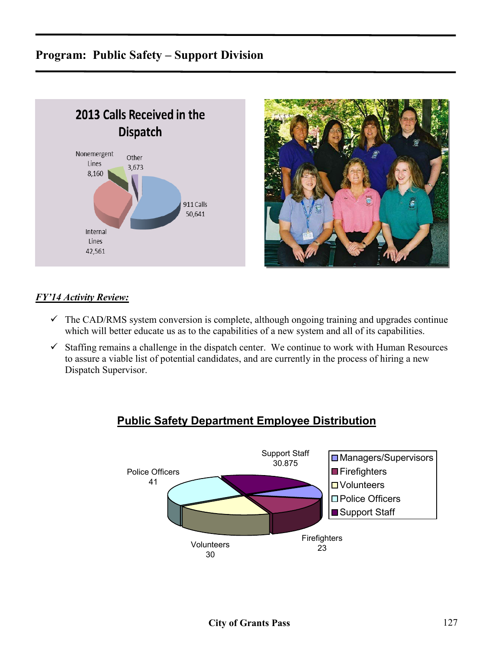



## *FY'14 Activity Review:*

- $\checkmark$  The CAD/RMS system conversion is complete, although ongoing training and upgrades continue which will better educate us as to the capabilities of a new system and all of its capabilities.
- $\checkmark$  Staffing remains a challenge in the dispatch center. We continue to work with Human Resources to assure a viable list of potential candidates, and are currently in the process of hiring a new Dispatch Supervisor.



## **Public Safety Department Employee Distribution**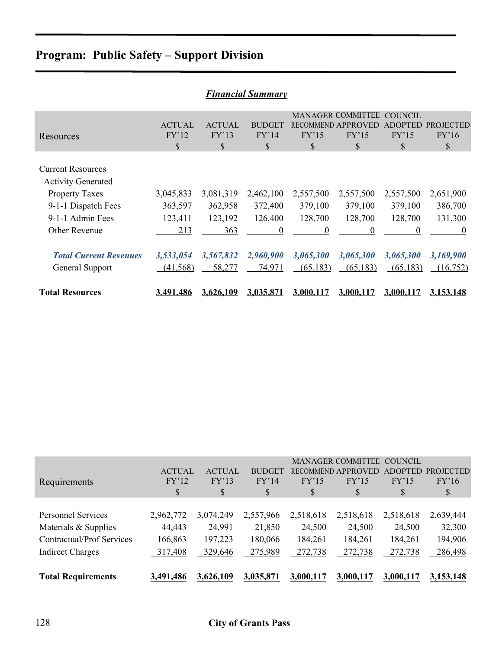| <b>Financial Summary</b>                                                                                                  |                                 |                                 |                                 |                                 |                                                            |                                         |                                 |  |  |
|---------------------------------------------------------------------------------------------------------------------------|---------------------------------|---------------------------------|---------------------------------|---------------------------------|------------------------------------------------------------|-----------------------------------------|---------------------------------|--|--|
| Resources                                                                                                                 | <b>ACTUAL</b><br>FY'12<br>\$    | <b>ACTUAL</b><br>FY'13<br>\$    | <b>BUDGET</b><br>FY'14<br>\$    | RECOMMEND.<br>FY'15<br>\$       | <b>MANAGER COMMITTEE</b><br><b>APPROVED</b><br>FY'15<br>\$ | <b>COUNCIL</b><br>ADOPTF<br>FY'15<br>\$ | PROJECTED<br>FY'16<br>\$        |  |  |
| <b>Current Resources</b><br><b>Activity Generated</b><br><b>Property Taxes</b><br>9-1-1 Dispatch Fees<br>9-1-1 Admin Fees | 3,045,833<br>363,597<br>123,411 | 3,081,319<br>362,958<br>123,192 | 2,462,100<br>372,400<br>126,400 | 2,557,500<br>379,100<br>128,700 | 2,557,500<br>379,100<br>128,700                            | 2,557,500<br>379,100<br>128,700         | 2,651,900<br>386,700<br>131,300 |  |  |
| Other Revenue                                                                                                             | 213                             | 363                             | $\theta$                        | $\theta$                        | 0                                                          | $\Omega$                                | $\theta$                        |  |  |
| <b>Total Current Revenues</b><br>General Support                                                                          | 3,533,054<br>(41, 568)          | 3,567,832<br>58,277             | 2,960,900<br>74,971             | 3,065,300<br>(65, 183)          | 3,065,300<br>(65, 183)                                     | 3,065,300<br>(65, 183)                  | 3,169,900<br>(16,752)           |  |  |
| <b>Total Resources</b>                                                                                                    | 3,491,486                       | 3,626,109                       | 3,035,871                       | 3.000.117                       | 3.000.117                                                  | 3.000.117                               | 3.153,148                       |  |  |

|                                  |               |               |               |           | MANAGER COMMITTEE COUNCIL |                |                  |
|----------------------------------|---------------|---------------|---------------|-----------|---------------------------|----------------|------------------|
|                                  | <b>ACTUAL</b> | <b>ACTUAL</b> | <b>BUDGET</b> |           | <b>RECOMMEND APPROVED</b> | <b>ADOPTED</b> | <b>PROJECTED</b> |
| Requirements                     | FY'12         | FY'13         | FY'14         | FY'15     | FY'15                     | FY'15          | FY'16            |
|                                  | \$            | \$            | S             | \$        | \$                        | \$             | \$               |
|                                  |               |               |               |           |                           |                |                  |
| <b>Personnel Services</b>        | 2,962,772     | 3,074,249     | 2,557,966     | 2,518,618 | 2,518,618                 | 2,518,618      | 2,639,444        |
| Materials & Supplies             | 44,443        | 24,991        | 21,850        | 24,500    | 24,500                    | 24,500         | 32,300           |
| <b>Contractual/Prof Services</b> | 166,863       | 197,223       | 180,066       | 184,261   | 184,261                   | 184,261        | 194,906          |
| <b>Indirect Charges</b>          | 317,408       | 329,646       | 275,989       | 272,738   | 272,738                   | 272,738        | 286,498          |
|                                  |               |               |               |           |                           |                |                  |
| <b>Total Requirements</b>        | 3,491,486     | 3,626,109     | 3,035,871     | 3,000,117 | 3,000,117                 | 3,000,117      | 3,153,148        |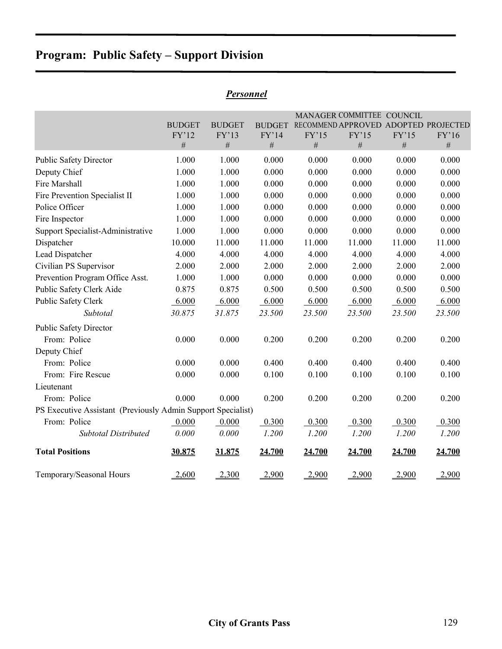| Personnel |  |  |  |  |
|-----------|--|--|--|--|
|           |  |  |  |  |

|                                                              |                        |                        |                        |        | MANAGER COMMITTEE COUNCIL                     |        |        |
|--------------------------------------------------------------|------------------------|------------------------|------------------------|--------|-----------------------------------------------|--------|--------|
|                                                              | <b>BUDGET</b><br>FY'12 | <b>BUDGET</b><br>FY'13 | <b>BUDGET</b><br>FY'14 | FY'15  | RECOMMEND APPROVED ADOPTED PROJECTED<br>FY'15 | FY'15  | FY'16  |
|                                                              | $\#$                   | $\#$                   | $\#$                   | $\#$   | $\#$                                          | $\#$   | $\#$   |
| <b>Public Safety Director</b>                                | 1.000                  | 1.000                  | 0.000                  | 0.000  | 0.000                                         | 0.000  | 0.000  |
| Deputy Chief                                                 | 1.000                  | 1.000                  | 0.000                  | 0.000  | 0.000                                         | 0.000  | 0.000  |
| Fire Marshall                                                | 1.000                  | 1.000                  | 0.000                  | 0.000  | 0.000                                         | 0.000  | 0.000  |
| Fire Prevention Specialist II                                | 1.000                  | 1.000                  | 0.000                  | 0.000  | 0.000                                         | 0.000  | 0.000  |
| Police Officer                                               | 1.000                  | 1.000                  | 0.000                  | 0.000  | 0.000                                         | 0.000  | 0.000  |
| Fire Inspector                                               | 1.000                  | 1.000                  | 0.000                  | 0.000  | 0.000                                         | 0.000  | 0.000  |
| Support Specialist-Administrative                            | 1.000                  | 1.000                  | 0.000                  | 0.000  | 0.000                                         | 0.000  | 0.000  |
| Dispatcher                                                   | 10.000                 | 11.000                 | 11.000                 | 11.000 | 11.000                                        | 11.000 | 11.000 |
| Lead Dispatcher                                              | 4.000                  | 4.000                  | 4.000                  | 4.000  | 4.000                                         | 4.000  | 4.000  |
| Civilian PS Supervisor                                       | 2.000                  | 2.000                  | 2.000                  | 2.000  | 2.000                                         | 2.000  | 2.000  |
| Prevention Program Office Asst.                              | 1.000                  | 1.000                  | 0.000                  | 0.000  | 0.000                                         | 0.000  | 0.000  |
| Public Safety Clerk Aide                                     | 0.875                  | 0.875                  | 0.500                  | 0.500  | 0.500                                         | 0.500  | 0.500  |
| Public Safety Clerk                                          | 6.000                  | 6.000                  | 6.000                  | 6.000  | 6.000                                         | 6.000  | 6.000  |
| Subtotal                                                     | 30.875                 | 31.875                 | 23.500                 | 23.500 | 23.500                                        | 23.500 | 23.500 |
| <b>Public Safety Director</b>                                |                        |                        |                        |        |                                               |        |        |
| From: Police                                                 | 0.000                  | 0.000                  | 0.200                  | 0.200  | 0.200                                         | 0.200  | 0.200  |
| Deputy Chief                                                 |                        |                        |                        |        |                                               |        |        |
| From: Police                                                 | 0.000                  | 0.000                  | 0.400                  | 0.400  | 0.400                                         | 0.400  | 0.400  |
| From: Fire Rescue                                            | 0.000                  | 0.000                  | 0.100                  | 0.100  | 0.100                                         | 0.100  | 0.100  |
| Lieutenant                                                   |                        |                        |                        |        |                                               |        |        |
| From: Police                                                 | 0.000                  | 0.000                  | 0.200                  | 0.200  | 0.200                                         | 0.200  | 0.200  |
| PS Executive Assistant (Previously Admin Support Specialist) |                        |                        |                        |        |                                               |        |        |
| From: Police                                                 | 0.000                  | 0.000                  | 0.300                  | 0.300  | 0.300                                         | 0.300  | 0.300  |
| <b>Subtotal Distributed</b>                                  | 0.000                  | 0.000                  | 1.200                  | 1.200  | 1.200                                         | 1.200  | 1.200  |
| <b>Total Positions</b>                                       | 30.875                 | 31.875                 | 24.700                 | 24.700 | 24.700                                        | 24.700 | 24.700 |
| Temporary/Seasonal Hours                                     | 2,600                  | 2,300                  | 2,900                  | 2,900  | 2,900                                         | 2,900  | 2,900  |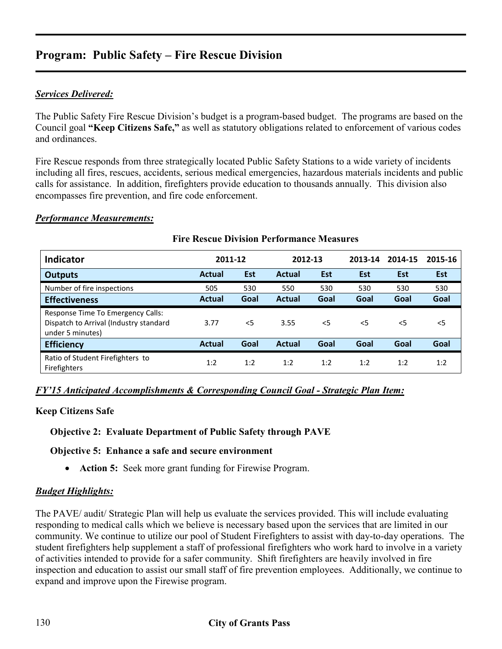### *Services Delivered:*

The Public Safety Fire Rescue Division's budget is a program-based budget. The programs are based on the Council goal **"Keep Citizens Safe,"** as well as statutory obligations related to enforcement of various codes and ordinances.

Fire Rescue responds from three strategically located Public Safety Stations to a wide variety of incidents including all fires, rescues, accidents, serious medical emergencies, hazardous materials incidents and public calls for assistance. In addition, firefighters provide education to thousands annually. This division also encompasses fire prevention, and fire code enforcement.

#### *Performance Measurements:*

| <b>Indicator</b>                                                                                | 2011-12       |            | 2012-13       |            | 2013-14    | 2014-15    | 2015-16 |
|-------------------------------------------------------------------------------------------------|---------------|------------|---------------|------------|------------|------------|---------|
| <b>Outputs</b>                                                                                  | <b>Actual</b> | <b>Est</b> | <b>Actual</b> | <b>Est</b> | <b>Est</b> | <b>Est</b> | Est     |
| Number of fire inspections                                                                      | 505           | 530        | 550           | 530        | 530        | 530        | 530     |
| <b>Effectiveness</b>                                                                            | <b>Actual</b> | Goal       | <b>Actual</b> | Goal       | Goal       | Goal       | Goal    |
| Response Time To Emergency Calls:<br>Dispatch to Arrival (Industry standard<br>under 5 minutes) | 3.77          | $<$ 5      | 3.55          | $<$ 5      | $<$ 5      | $<$ 5      | $<$ 5   |
| <b>Efficiency</b>                                                                               | <b>Actual</b> | Goal       | <b>Actual</b> | Goal       | Goal       | Goal       | Goal    |
| Ratio of Student Firefighters to<br>Firefighters                                                | 1:2           | 1:2        | 1:2           | 1:2        | 1:2        | 1:2        | 1:2     |

#### **Fire Rescue Division Performance Measures**

#### *FY'15 Anticipated Accomplishments & Corresponding Council Goal - Strategic Plan Item:*

#### **Keep Citizens Safe**

#### **Objective 2: Evaluate Department of Public Safety through PAVE**

#### **Objective 5: Enhance a safe and secure environment**

• **Action 5:** Seek more grant funding for Firewise Program.

#### *Budget Highlights:*

The PAVE/ audit/ Strategic Plan will help us evaluate the services provided. This will include evaluating responding to medical calls which we believe is necessary based upon the services that are limited in our community. We continue to utilize our pool of Student Firefighters to assist with day-to-day operations. The student firefighters help supplement a staff of professional firefighters who work hard to involve in a variety of activities intended to provide for a safer community. Shift firefighters are heavily involved in fire inspection and education to assist our small staff of fire prevention employees. Additionally, we continue to expand and improve upon the Firewise program.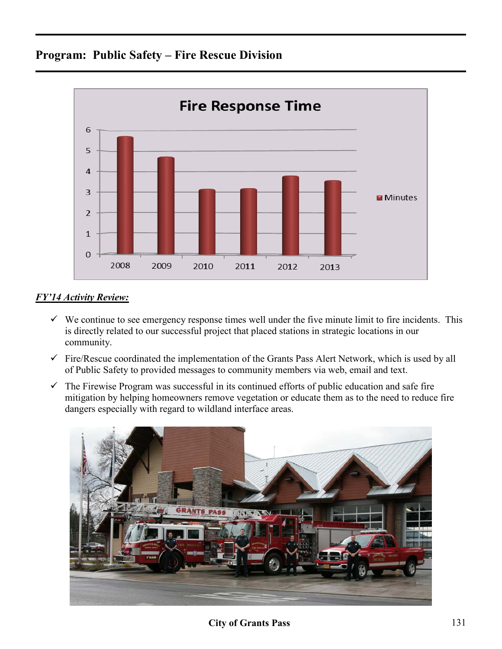

## *FY'14 Activity Review:*

- $\checkmark$  We continue to see emergency response times well under the five minute limit to fire incidents. This is directly related to our successful project that placed stations in strategic locations in our community.
- $\checkmark$  Fire/Rescue coordinated the implementation of the Grants Pass Alert Network, which is used by all of Public Safety to provided messages to community members via web, email and text.
- $\checkmark$  The Firewise Program was successful in its continued efforts of public education and safe fire mitigation by helping homeowners remove vegetation or educate them as to the need to reduce fire dangers especially with regard to wildland interface areas.



**City of Grants Pass** 131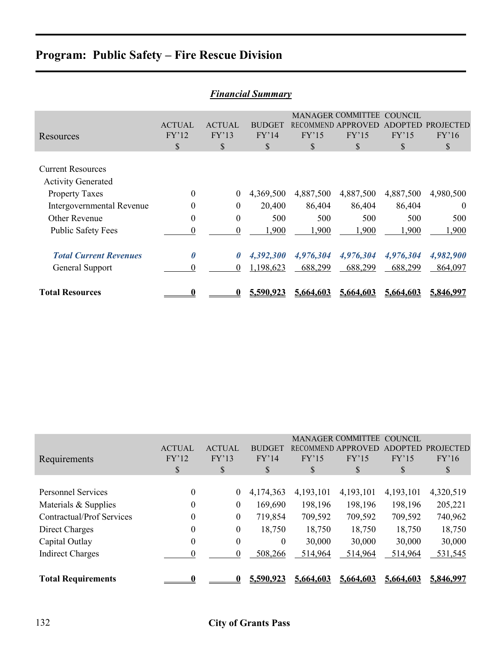| <b>Financial Summary</b>                              |                              |                              |                              |            |                                                               |                                                |                                |  |  |
|-------------------------------------------------------|------------------------------|------------------------------|------------------------------|------------|---------------------------------------------------------------|------------------------------------------------|--------------------------------|--|--|
| Resources                                             | <b>ACTUAL</b><br>FY'12<br>\$ | <b>ACTUAL</b><br>FY'13<br>\$ | <b>BUDGET</b><br>FY'14<br>\$ | FY'15<br>S | <b>MANAGER COMMITTEE</b><br>RECOMMEND APPROVED<br>FY'15<br>\$ | <b>COUNCIL</b><br><b>ADOPTED</b><br>FY'15<br>S | <b>PROJECTED</b><br>FY'16<br>S |  |  |
| <b>Current Resources</b><br><b>Activity Generated</b> |                              |                              |                              |            |                                                               |                                                |                                |  |  |
| <b>Property Taxes</b>                                 | $\boldsymbol{0}$             | $\overline{0}$               | 4,369,500                    | 4,887,500  | 4,887,500                                                     | 4,887,500                                      | 4,980,500                      |  |  |
| Intergovernmental Revenue                             | $\theta$                     | $\theta$                     | 20,400                       | 86,404     | 86,404                                                        | 86,404                                         | $\theta$                       |  |  |
| <b>Other Revenue</b>                                  | $\overline{0}$               | $\theta$                     | 500                          | 500        | 500                                                           | 500                                            | 500                            |  |  |
| <b>Public Safety Fees</b>                             | $\Omega$                     | $\theta$                     | 1,900                        | 1,900      | 1,900                                                         | 1,900                                          | 1,900                          |  |  |
| <b>Total Current Revenues</b>                         | $\boldsymbol{\theta}$        | $\theta$                     | 4,392,300                    | 4,976,304  | 4,976,304                                                     | 4,976,304                                      | 4,982,900                      |  |  |
| General Support                                       | 0                            | $\theta$                     | 1,198,623                    | 688,299    | 688,299                                                       | 688,299                                        | 864,097                        |  |  |
| <b>Total Resources</b>                                |                              |                              | 5,590,923                    | 5,664,603  | 5.664.603                                                     | 5,664,603                                      | 5,846,997                      |  |  |

| Requirements                     | <b>ACTUAL</b><br>FY'12<br>S | <b>ACTUAL</b><br>FY'13<br>\$ | <b>BUDGET</b><br>FY'14<br>\$ | FY'15<br><sup>S</sup> | <b>MANAGER COMMITTEE</b><br>RECOMMEND APPROVED<br>FY'15<br>\$ | COUNCIL<br>ADOPTED<br>FY'15<br>S | <b>PROJECTED</b><br>FY'16<br>S |
|----------------------------------|-----------------------------|------------------------------|------------------------------|-----------------------|---------------------------------------------------------------|----------------------------------|--------------------------------|
| <b>Personnel Services</b>        | $\theta$                    |                              |                              | 4,193,101             |                                                               |                                  |                                |
|                                  |                             | $\boldsymbol{0}$             | 4,174,363                    |                       | 4,193,101                                                     | 4,193,101                        | 4,320,519                      |
| Materials & Supplies             | 0                           | $\boldsymbol{0}$             | 169,690                      | 198,196               | 198,196                                                       | 198,196                          | 205,221                        |
| <b>Contractual/Prof Services</b> | 0                           | $\boldsymbol{0}$             | 719,854                      | 709,592               | 709,592                                                       | 709,592                          | 740,962                        |
| Direct Charges                   | $\boldsymbol{0}$            | $\boldsymbol{0}$             | 18,750                       | 18,750                | 18,750                                                        | 18,750                           | 18,750                         |
| Capital Outlay                   | $\boldsymbol{0}$            | $\mathbf{0}$                 | $\theta$                     | 30,000                | 30,000                                                        | 30,000                           | 30,000                         |
| <b>Indirect Charges</b>          | 0                           | 0                            | 508,266                      | 514,964               | 514,964                                                       | 514,964                          | 531,545                        |
|                                  |                             |                              |                              |                       |                                                               |                                  |                                |
| <b>Total Requirements</b>        |                             |                              | 5,590,923                    | 5,664,603             | 5,664,603                                                     | 5,664,603                        | 5,846,997                      |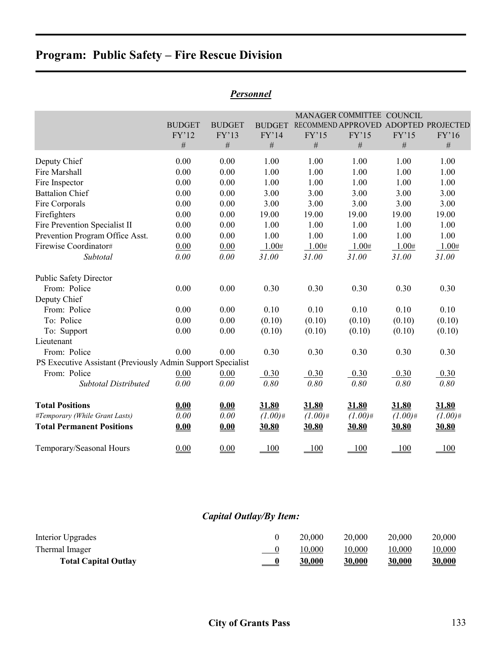|                                                                                                                                                                                                                                                        | <b>BUDGET</b><br>FY'12<br>$\#$                                               | <b>BUDGET</b><br>FY'13<br>$\#$                                               | <b>BUDGET</b><br>FY'14<br>#                                                     | FY'15<br>$\#$                                                                   | MANAGER COMMITTEE COUNCIL<br>RECOMMEND APPROVED ADOPTED PROJECTED<br>FY'15<br>$\#$ | FY'15<br>$\#$                                                                   | FY'16<br>#                                                                      |
|--------------------------------------------------------------------------------------------------------------------------------------------------------------------------------------------------------------------------------------------------------|------------------------------------------------------------------------------|------------------------------------------------------------------------------|---------------------------------------------------------------------------------|---------------------------------------------------------------------------------|------------------------------------------------------------------------------------|---------------------------------------------------------------------------------|---------------------------------------------------------------------------------|
| Deputy Chief<br>Fire Marshall<br>Fire Inspector<br><b>Battalion Chief</b><br>Fire Corporals<br>Firefighters<br><b>Fire Prevention Specialist II</b><br>Prevention Program Office Asst.<br>Firewise Coordinator#<br>Subtotal                            | 0.00<br>0.00<br>0.00<br>0.00<br>0.00<br>0.00<br>0.00<br>0.00<br>0.00<br>0.00 | 0.00<br>0.00<br>0.00<br>0.00<br>0.00<br>0.00<br>0.00<br>0.00<br>0.00<br>0.00 | 1.00<br>1.00<br>1.00<br>3.00<br>3.00<br>19.00<br>1.00<br>1.00<br>1.00#<br>31.00 | 1.00<br>1.00<br>1.00<br>3.00<br>3.00<br>19.00<br>1.00<br>1.00<br>1.00#<br>31.00 | 1.00<br>1.00<br>1.00<br>3.00<br>3.00<br>19.00<br>1.00<br>1.00<br>1.00#<br>31.00    | 1.00<br>1.00<br>1.00<br>3.00<br>3.00<br>19.00<br>1.00<br>1.00<br>1.00#<br>31.00 | 1.00<br>1.00<br>1.00<br>3.00<br>3.00<br>19.00<br>1.00<br>1.00<br>1.00#<br>31.00 |
| <b>Public Safety Director</b><br>From: Police<br>Deputy Chief<br>From: Police<br>To: Police<br>To: Support<br>Lieutenant<br>From: Police<br>PS Executive Assistant (Previously Admin Support Specialist<br>From: Police<br><b>Subtotal Distributed</b> | 0.00<br>0.00<br>$0.00\,$<br>0.00<br>0.00<br>0.00<br>0.00                     | 0.00<br>0.00<br>0.00<br>0.00<br>0.00<br>0.00<br>0.00                         | 0.30<br>0.10<br>(0.10)<br>(0.10)<br>0.30<br>0.30<br>0.80                        | 0.30<br>0.10<br>(0.10)<br>(0.10)<br>0.30<br>0.30<br>0.80                        | 0.30<br>0.10<br>(0.10)<br>(0.10)<br>0.30<br>0.30<br>0.80                           | 0.30<br>0.10<br>(0.10)<br>(0.10)<br>0.30<br>0.30<br>0.80                        | 0.30<br>0.10<br>(0.10)<br>(0.10)<br>0.30<br>0.30<br>0.80                        |
| <b>Total Positions</b><br>#Temporary (While Grant Lasts)<br><b>Total Permanent Positions</b>                                                                                                                                                           | 0.00<br>0.00<br>0.00                                                         | 0.00<br>0.00<br>0.00                                                         | 31.80<br>$(1.00)$ #<br>30.80                                                    | 31.80<br>$(1.00)$ #<br>30.80                                                    | 31.80<br>$(1.00)$ #<br>30.80                                                       | 31.80<br>$(1.00)$ #<br>30.80                                                    | 31.80<br>$(1.00)$ #<br>30.80                                                    |
| Temporary/Seasonal Hours                                                                                                                                                                                                                               | 0.00                                                                         | 0.00                                                                         | 100                                                                             | 100                                                                             | 100                                                                                | 100                                                                             | 100                                                                             |

#### *Personnel*

## *Capital Outlay/By Item:*

| Interior Upgrades           |               | 20.000 | 20,000 | 20,000 | 20,000        |
|-----------------------------|---------------|--------|--------|--------|---------------|
| Thermal Imager              |               | 10,000 | 10,000 | 10,000 | 10,000        |
| <b>Total Capital Outlay</b> | $\frac{0}{2}$ | 30,000 | 30,000 | 30,000 | <u>30,000</u> |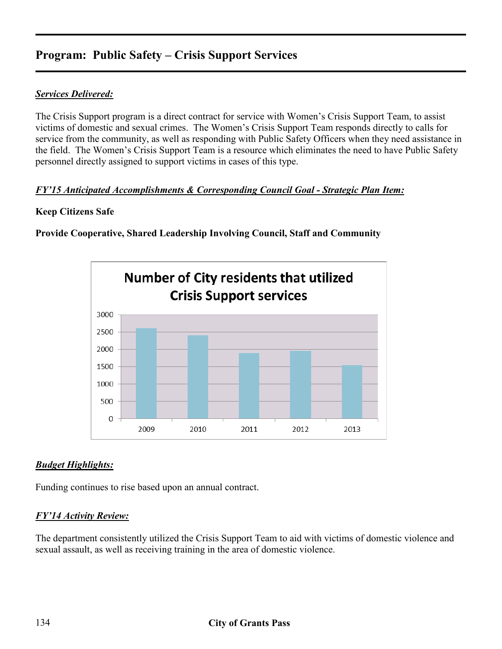# **Program: Public Safety – Crisis Support Services**

### *Services Delivered:*

The Crisis Support program is a direct contract for service with Women's Crisis Support Team, to assist victims of domestic and sexual crimes. The Women's Crisis Support Team responds directly to calls for service from the community, as well as responding with Public Safety Officers when they need assistance in the field. The Women's Crisis Support Team is a resource which eliminates the need to have Public Safety personnel directly assigned to support victims in cases of this type.

### *FY'15 Anticipated Accomplishments & Corresponding Council Goal - Strategic Plan Item:*

### **Keep Citizens Safe**

**Provide Cooperative, Shared Leadership Involving Council, Staff and Community** 



## *Budget Highlights:*

Funding continues to rise based upon an annual contract.

## *FY'14 Activity Review:*

The department consistently utilized the Crisis Support Team to aid with victims of domestic violence and sexual assault, as well as receiving training in the area of domestic violence.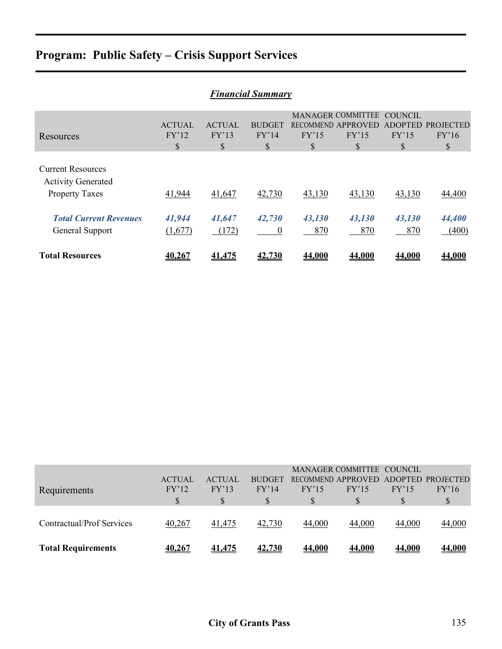# **Program: Public Safety – Crisis Support Services**

| <b>Financial Summary</b>                                                       |                              |                              |                              |               |                                                               |                                   |                                 |  |  |
|--------------------------------------------------------------------------------|------------------------------|------------------------------|------------------------------|---------------|---------------------------------------------------------------|-----------------------------------|---------------------------------|--|--|
| Resources                                                                      | <b>ACTUAL</b><br>FY'12<br>\$ | <b>ACTUAL</b><br>FY'13<br>\$ | <b>BUDGET</b><br>FY'14<br>\$ | FY'15<br>\$   | <b>MANAGER COMMITTEE</b><br>RECOMMEND APPROVED<br>FY'15<br>\$ | COUNCIL<br>ADOPTED<br>FY'15<br>\$ | <b>PROJECTED</b><br>FY'16<br>\$ |  |  |
| <b>Current Resources</b><br><b>Activity Generated</b><br><b>Property Taxes</b> | 41,944                       | 41,647                       | 42,730                       | 43,130        | 43,130                                                        | 43,130                            | 44,400                          |  |  |
| <b>Total Current Revenues</b><br>General Support                               | 41,944<br>(1,677)            | 41,647<br>(172)              | 42,730<br>$\overline{0}$     | 43,130<br>870 | 43,130<br>870                                                 | 43,130<br>870                     | 44,400<br>(400)                 |  |  |
| <b>Total Resources</b>                                                         | 40.267                       | 41,475                       | 42.730                       | 44.000        | 44.000                                                        | <b>44.000</b>                     | 44.000                          |  |  |

| <b>Requirements</b>       | <b>ACTUAL</b><br>FY'12 | <b>ACTUAL</b><br>FY'13 | <b>BUDGET</b><br>FY'14 | FY'15<br>\$ | FY'15         | FY'15         | RECOMMEND APPROVED ADOPTED PROJECTED<br>FY'16<br>S |
|---------------------------|------------------------|------------------------|------------------------|-------------|---------------|---------------|----------------------------------------------------|
| Contractual/Prof Services | 40,267                 | 41,475                 | 42,730                 | 44,000      | 44,000        | 44,000        | 44,000                                             |
| <b>Total Requirements</b> | <u>40,267</u>          | <u>41,475</u>          | 42,730                 | 44,000      | <b>44,000</b> | <b>44,000</b> | <u>44,000</u>                                      |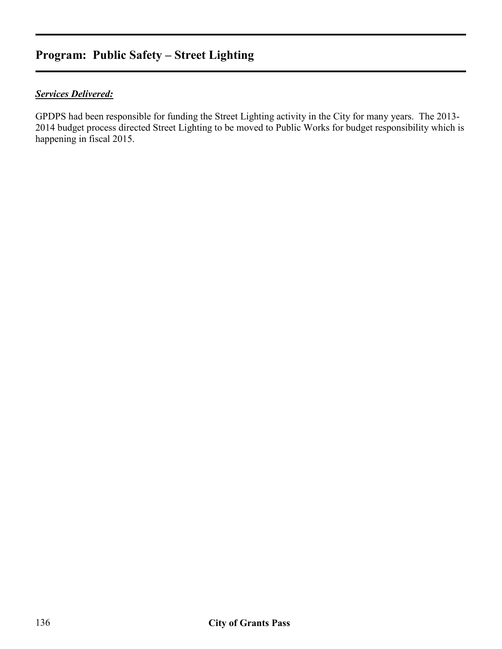# **Program: Public Safety – Street Lighting**

## *Services Delivered:*

GPDPS had been responsible for funding the Street Lighting activity in the City for many years. The 2013- 2014 budget process directed Street Lighting to be moved to Public Works for budget responsibility which is happening in fiscal 2015.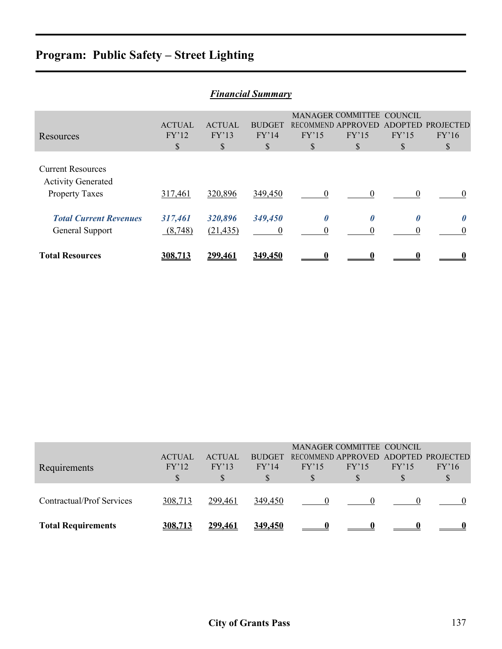# **Program: Public Safety – Street Lighting**

| <b>Financial Summary</b>                                                       |                              |                             |                             |            |                                                               |                              |                         |  |  |
|--------------------------------------------------------------------------------|------------------------------|-----------------------------|-----------------------------|------------|---------------------------------------------------------------|------------------------------|-------------------------|--|--|
| Resources                                                                      | <b>ACTUAL</b><br>FY'12<br>\$ | <b>ACTUAL</b><br>FY'13<br>S | <b>BUDGET</b><br>FY'14<br>S | FY'15<br>S | MANAGER COMMITTEE COUNCIL<br>RECOMMEND APPROVED<br>FY'15<br>S | <b>ADOPTED</b><br>FY'15<br>S | PROJECTED<br>FY'16<br>S |  |  |
| <b>Current Resources</b><br><b>Activity Generated</b><br><b>Property Taxes</b> | 317,461                      | 320,896                     | 349,450                     |            | 0                                                             | $\Omega$                     | $\theta$                |  |  |
| <b>Total Current Revenues</b><br>General Support                               | 317,461<br>(8,748)           | 320,896<br>(21, 435)        | 349,450<br>0                | 0          | $\theta$                                                      |                              | $\Omega$                |  |  |
| <b>Total Resources</b>                                                         | 308.713                      | 299,461                     | 349.450                     |            |                                                               |                              |                         |  |  |

| Requirements              | <b>ACTUAL</b><br>FY'12 | <b>ACTUAL</b><br>FY'13 | <b>BUDGET</b><br>FY'14 | FY'15 | MANAGER COMMITTEE COUNCIL<br>FY'15 | FY'15 | RECOMMEND APPROVED ADOPTED PROJECTED<br>FY'16 |
|---------------------------|------------------------|------------------------|------------------------|-------|------------------------------------|-------|-----------------------------------------------|
| Contractual/Prof Services | 308,713                | 299,461                | 349,450                |       |                                    |       |                                               |
| <b>Total Requirements</b> | 308.713                | <u>299.461</u>         | 349.450                |       |                                    |       |                                               |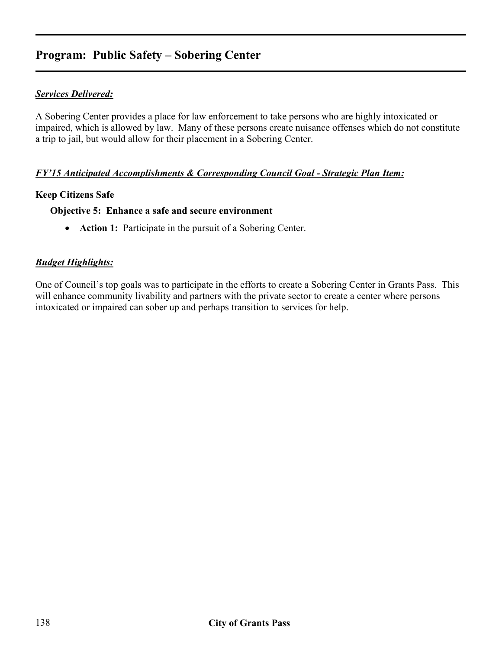# **Program: Public Safety – Sobering Center**

### *Services Delivered:*

A Sobering Center provides a place for law enforcement to take persons who are highly intoxicated or impaired, which is allowed by law. Many of these persons create nuisance offenses which do not constitute a trip to jail, but would allow for their placement in a Sobering Center.

#### *FY'15 Anticipated Accomplishments & Corresponding Council Goal - Strategic Plan Item:*

#### **Keep Citizens Safe**

#### **Objective 5: Enhance a safe and secure environment**

• **Action 1:** Participate in the pursuit of a Sobering Center.

#### *Budget Highlights:*

One of Council's top goals was to participate in the efforts to create a Sobering Center in Grants Pass. This will enhance community livability and partners with the private sector to create a center where persons intoxicated or impaired can sober up and perhaps transition to services for help.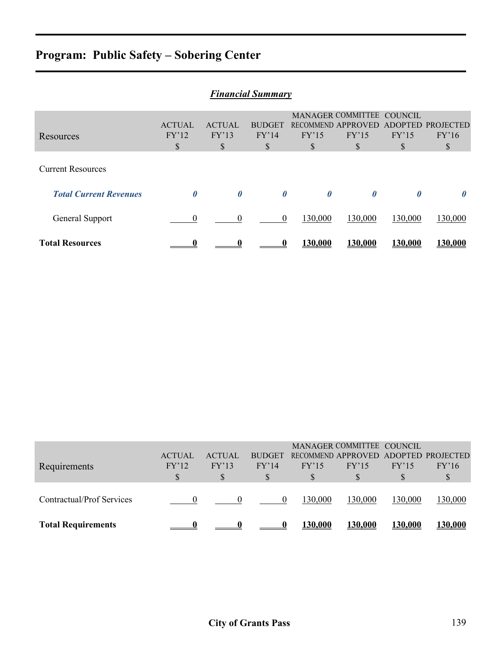# **Program: Public Safety – Sobering Center**

| <b>Financial Summary</b>      |                |               |                       |                       |                           |                       |                  |  |
|-------------------------------|----------------|---------------|-----------------------|-----------------------|---------------------------|-----------------------|------------------|--|
|                               |                |               |                       |                       | MANAGER COMMITTEE COUNCIL |                       |                  |  |
|                               | <b>ACTUAL</b>  | <b>ACTUAL</b> | <b>BUDGET</b>         |                       | RECOMMEND APPROVED        | <b>ADOPTED</b>        | <b>PROJECTED</b> |  |
| Resources                     | FY'12          | FY'13         | FY'14                 | FY'15                 | FY'15                     | FY'15                 | FY'16            |  |
|                               | \$             | \$            | \$                    | S                     | S                         | S                     | \$               |  |
| <b>Current Resources</b>      |                |               |                       |                       |                           |                       |                  |  |
| <b>Total Current Revenues</b> | 0              | 0             | $\boldsymbol{\theta}$ | $\boldsymbol{\theta}$ | $\boldsymbol{\theta}$     | $\boldsymbol{\theta}$ | $\theta$         |  |
| General Support               | $\overline{0}$ | 0             | $\theta$              | 130,000               | 130,000                   | 130,000               | 130,000          |  |
| <b>Total Resources</b>        |                |               |                       | 130.000               | 130.000                   | <u>130.000</u>        | 130.000          |  |

| <b>Requirements</b>       | <b>ACTUAL</b><br>FY'12<br>S | <b>ACTUAL</b><br>FY'13 | <b>BUDGET</b><br>FY'14 | FY'15<br>S     | MANAGER COMMITTEE COUNCIL<br>FY'15<br>S | FY'15          | RECOMMEND APPROVED ADOPTED PROJECTED<br>FY'16<br>S |
|---------------------------|-----------------------------|------------------------|------------------------|----------------|-----------------------------------------|----------------|----------------------------------------------------|
| Contractual/Prof Services |                             |                        | $\theta$               | 130,000        | 130,000                                 | 130,000        | 130,000                                            |
| <b>Total Requirements</b> |                             |                        |                        | <b>130,000</b> | <u>130,000</u>                          | <u>130,000</u> | <u>130,000</u>                                     |